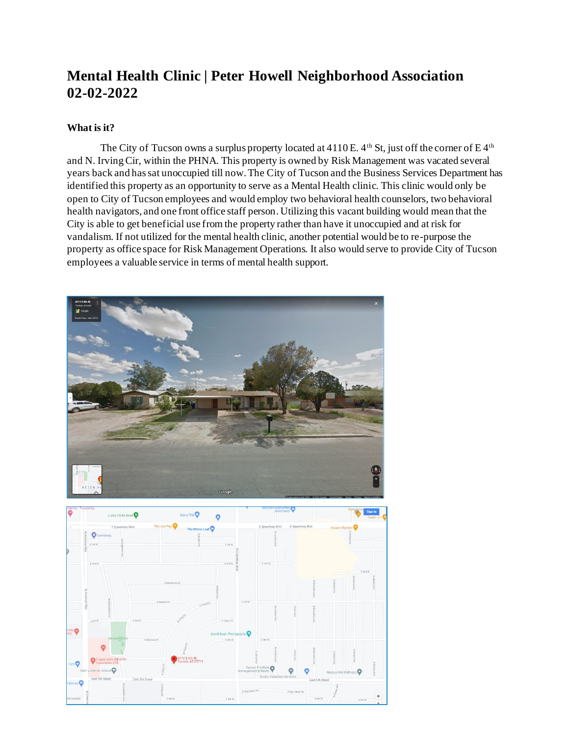# **Mental Health Clinic | Peter Howell Neighborhood Association 02-02-2022**

## **What is it?**

The City of Tucson owns a surplus property located at  $4110E$ .  $4<sup>th</sup>$  St, just off the corner of E  $4<sup>th</sup>$ and N. Irving Cir, within the PHNA. This property is owned by Risk Management was vacated several years back and has sat unoccupied till now. The City of Tucson and the Business Services Department has identified this property as an opportunity to serve as a Mental Health clinic. This clinic would only be open to City of Tucson employees and would employ two behavioral health counselors, two behavioral health navigators, and one front office staff person. Utilizing this vacant building would mean that the City is able to get beneficial use from the property rather than have it unoccupied and at risk for vandalism. If not utilized for the mental health clinic, another potential would be to re-purpose the property as office space for Risk Management Operations. It also would serve to provide City of Tucson employees a valuable service in terms of mental health support.